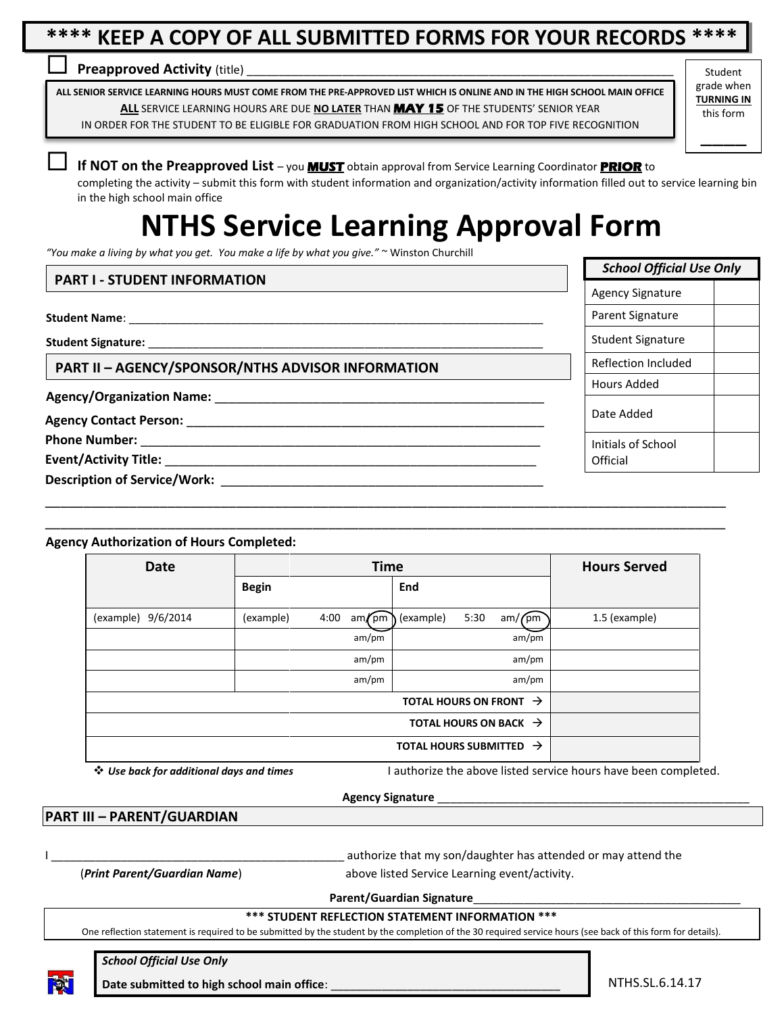## **\*\*\*\* KEEP A COPY OF ALL SUBMITTED FORMS FOR YOUR RECORDS \*\*\*\***

#### **Preapproved Activity** (title)

**ALL SENIOR SERVICE LEARNING HOURS MUST COME FROM THE PRE-APPROVED LIST WHICH IS ONLINE AND IN THE HIGH SCHOOL MAIN OFFICE ALL** SERVICE LEARNING HOURS ARE DUE **NO LATER** THAN **MAY 15** OF THE STUDENTS' SENIOR YEAR IN ORDER FOR THE STUDENT TO BE ELIGIBLE FOR GRADUATION FROM HIGH SCHOOL AND FOR TOP FIVE RECOGNITION

Student grade when **TURNING IN** this form

\_\_\_\_

**If NOT on the Preapproved List** – you **MUST** obtain approval from Service Learning Coordinator **PRIOR** to

completing the activity – submit this form with student information and organization/activity information filled out to service learning bin in the high school main office  $\frac{1}{2}$ 

# **NTHS Service Learning Approval Form**

*"You make a living by what you get. You make a life by what you give."* ~ Winston Churchill

#### **PART I - STUDENT INFORMATION**

**Student Name:** 

**Student Signature:** \_\_\_\_\_\_\_\_\_\_\_\_\_\_\_\_\_\_\_\_\_\_\_\_\_\_\_\_\_\_\_\_\_\_\_\_\_\_\_\_\_\_\_\_\_\_\_\_\_\_\_\_\_\_\_\_\_\_\_\_\_\_

**PART II – AGENCY/SPONSOR/NTHS ADVISOR INFORMATION**

**Agency/Organization Name:** \_\_\_\_\_\_\_\_\_\_\_\_\_\_\_\_\_\_\_\_\_\_\_\_\_\_\_\_\_\_\_\_\_\_\_\_\_\_\_\_\_\_\_\_\_\_\_

**Agency Contact Person:** \_\_\_\_\_\_\_\_\_\_\_\_\_\_\_\_\_\_\_\_\_\_\_\_\_\_\_\_\_\_\_\_\_\_\_\_\_\_\_\_\_\_\_\_\_\_\_\_\_\_\_

**Phone Number:** 

Event/Activity Title:

**Description of Service/Work: with the service of Service** of  $\mathbf{S}$ 

#### **Agency Authorization of Hours Completed:**

| <b>Date</b>        | <b>Time</b>       | <b>Hours Served</b>                 |               |
|--------------------|-------------------|-------------------------------------|---------------|
|                    | <b>Begin</b>      | End                                 |               |
| (example) 9/6/2014 | 4:00<br>(example) | 5:30<br>$am/cm$ (example)<br>am/fpm | 1.5 (example) |
|                    | am/pm             | am/pm                               |               |
|                    | am/pm             | am/pm                               |               |
|                    | am/pm             | am/pm                               |               |
|                    |                   |                                     |               |
|                    |                   |                                     |               |
|                    |                   |                                     |               |

\_\_\_\_\_\_\_\_\_\_\_\_\_\_\_\_\_\_\_\_\_\_\_\_\_\_\_\_\_\_\_\_\_\_\_\_\_\_\_\_\_\_\_\_\_\_\_\_\_\_\_\_\_\_\_\_\_\_\_\_\_\_\_\_\_\_\_\_\_\_\_\_\_\_\_\_\_\_\_\_\_\_\_\_\_\_\_\_\_ \_\_\_\_\_\_\_\_\_\_\_\_\_\_\_\_\_\_\_\_\_\_\_\_\_\_\_\_\_\_\_\_\_\_\_\_\_\_\_\_\_\_\_\_\_\_\_\_\_\_\_\_\_\_\_\_\_\_\_\_\_\_\_\_\_\_\_\_\_\_\_\_\_\_\_\_\_\_\_\_\_\_\_\_\_\_\_\_\_

*Use back for additional days and times* I authorize the above listed service hours have been completed.

#### **Agency Signature** \_\_\_\_\_\_\_\_\_\_\_\_\_\_\_\_\_\_\_\_\_\_\_\_\_\_\_\_\_\_\_\_\_\_\_\_\_\_\_\_\_\_\_\_\_\_\_\_\_

#### **PART III – PARENT/GUARDIAN**

authorize that my son/daughter has attended or may attend the

(*Print Parent/Guardian Name*) above listed Service Learning event/activity.

**Parent/Guardian Signature**\_\_\_\_\_\_\_\_\_\_\_\_\_\_\_\_\_\_\_\_\_\_\_\_\_\_\_\_\_\_\_\_\_\_\_\_\_\_\_\_\_\_

#### **\*\*\* STUDENT REFLECTION STATEMENT INFORMATION \*\*\***

One reflection statement is required to be submitted by the student by the completion of the 30 required service hours (see back of this form for details).

*School Official Use Only*

Date submitted to high school main office:

NTHS.SL.6.14.17

| $-$ | - | <br>- |
|-----|---|-------|
|     |   |       |
|     |   |       |
|     |   |       |
|     |   |       |
|     |   |       |

| <b>School Official Use Only</b> |  |  |  |  |
|---------------------------------|--|--|--|--|
| <b>Agency Signature</b>         |  |  |  |  |
| Parent Signature                |  |  |  |  |
| Student Signature               |  |  |  |  |
| Reflection Included             |  |  |  |  |
| Hours Added                     |  |  |  |  |
| Date Added                      |  |  |  |  |
| Initials of School<br>Official  |  |  |  |  |